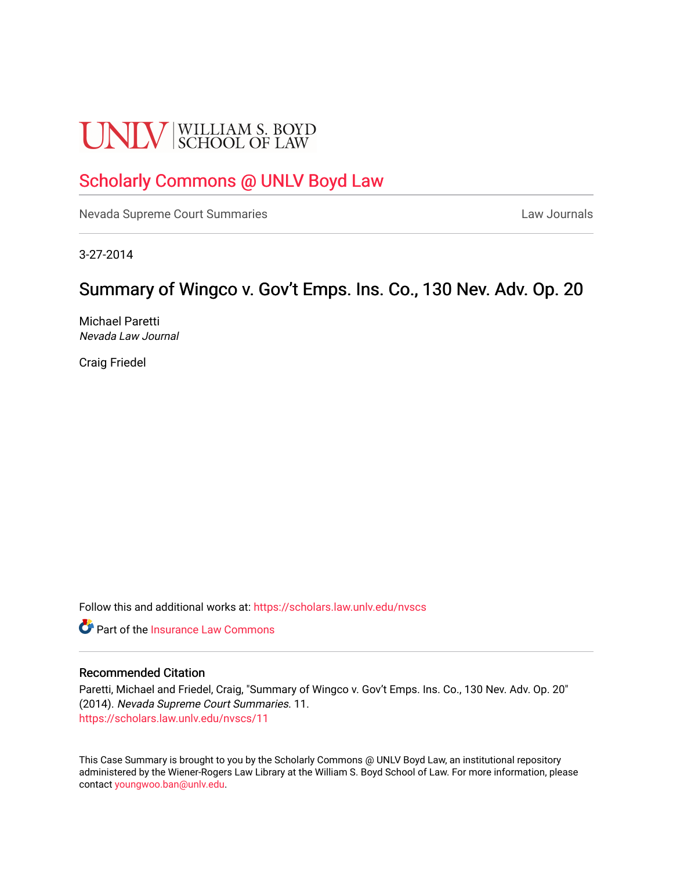# **UNLV** SCHOOL OF LAW

## [Scholarly Commons @ UNLV Boyd Law](https://scholars.law.unlv.edu/)

[Nevada Supreme Court Summaries](https://scholars.law.unlv.edu/nvscs) **Law Journals** Law Journals

3-27-2014

# Summary of Wingco v. Gov't Emps. Ins. Co., 130 Nev. Adv. Op. 20

Michael Paretti Nevada Law Journal

Craig Friedel

Follow this and additional works at: [https://scholars.law.unlv.edu/nvscs](https://scholars.law.unlv.edu/nvscs?utm_source=scholars.law.unlv.edu%2Fnvscs%2F11&utm_medium=PDF&utm_campaign=PDFCoverPages)

**C** Part of the [Insurance Law Commons](http://network.bepress.com/hgg/discipline/607?utm_source=scholars.law.unlv.edu%2Fnvscs%2F11&utm_medium=PDF&utm_campaign=PDFCoverPages)

#### Recommended Citation

Paretti, Michael and Friedel, Craig, "Summary of Wingco v. Gov't Emps. Ins. Co., 130 Nev. Adv. Op. 20" (2014). Nevada Supreme Court Summaries. 11. [https://scholars.law.unlv.edu/nvscs/11](https://scholars.law.unlv.edu/nvscs/11?utm_source=scholars.law.unlv.edu%2Fnvscs%2F11&utm_medium=PDF&utm_campaign=PDFCoverPages) 

This Case Summary is brought to you by the Scholarly Commons @ UNLV Boyd Law, an institutional repository administered by the Wiener-Rogers Law Library at the William S. Boyd School of Law. For more information, please contact [youngwoo.ban@unlv.edu](mailto:youngwoo.ban@unlv.edu).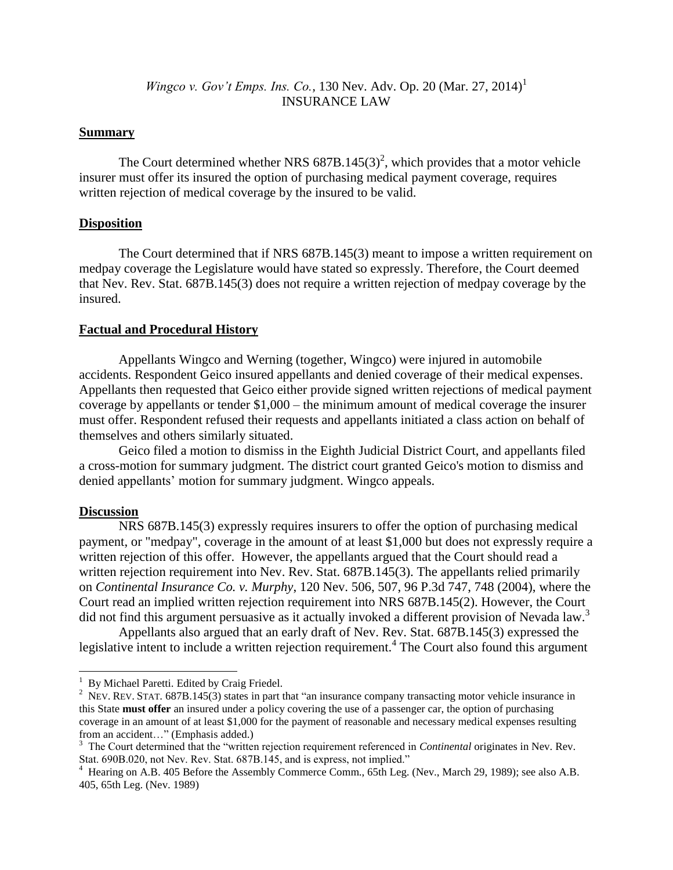## *Wingco v. Gov't Emps. Ins. Co.,* 130 Nev. Adv. Op. 20 (Mar. 27, 2014) 1 INSURANCE LAW

#### **Summary**

The Court determined whether NRS  $687B.145(3)^2$ , which provides that a motor vehicle insurer must offer its insured the option of purchasing medical payment coverage, requires written rejection of medical coverage by the insured to be valid.

#### **Disposition**

The Court determined that if NRS 687B.145(3) meant to impose a written requirement on medpay coverage the Legislature would have stated so expressly. Therefore, the Court deemed that Nev. Rev. Stat. 687B.145(3) does not require a written rejection of medpay coverage by the insured.

#### **Factual and Procedural History**

Appellants Wingco and Werning (together, Wingco) were injured in automobile accidents. Respondent Geico insured appellants and denied coverage of their medical expenses. Appellants then requested that Geico either provide signed written rejections of medical payment coverage by appellants or tender \$1,000 – the minimum amount of medical coverage the insurer must offer. Respondent refused their requests and appellants initiated a class action on behalf of themselves and others similarly situated.

Geico filed a motion to dismiss in the Eighth Judicial District Court, and appellants filed a cross-motion for summary judgment. The district court granted Geico's motion to dismiss and denied appellants' motion for summary judgment. Wingco appeals.

#### **Discussion**

 $\overline{\phantom{a}}$ 

NRS 687B.145(3) expressly requires insurers to offer the option of purchasing medical payment, or "medpay", coverage in the amount of at least \$1,000 but does not expressly require a written rejection of this offer. However, the appellants argued that the Court should read a written rejection requirement into Nev. Rev. Stat. 687B.145(3). The appellants relied primarily on *Continental Insurance Co. v. Murphy*, 120 Nev. 506, 507, 96 P.3d 747, 748 (2004), where the Court read an implied written rejection requirement into NRS 687B.145(2). However, the Court did not find this argument persuasive as it actually invoked a different provision of Nevada law.<sup>3</sup>

Appellants also argued that an early draft of Nev. Rev. Stat. 687B.145(3) expressed the legislative intent to include a written rejection requirement.<sup>4</sup> The Court also found this argument

<sup>&</sup>lt;sup>1</sup> By Michael Paretti. Edited by Craig Friedel.

<sup>&</sup>lt;sup>2</sup> NEV. REV. STAT. 687B.145(3) states in part that "an insurance company transacting motor vehicle insurance in this State **must offer** an insured under a policy covering the use of a passenger car, the option of purchasing coverage in an amount of at least \$1,000 for the payment of reasonable and necessary medical expenses resulting from an accident…" (Emphasis added.)

<sup>&</sup>lt;sup>3</sup> The Court determined that the "written rejection requirement referenced in *Continental* originates in Nev. Rev.

Stat. 690B.020, not Nev. Rev. Stat. 687B.145, and is express, not implied."<br><sup>4</sup> Hearing on A.B. 405 Before the Assembly Commerce Comm., 65th Leg. (Nev., March 29, 1989); see also A.B. 405, 65th Leg. (Nev. 1989)